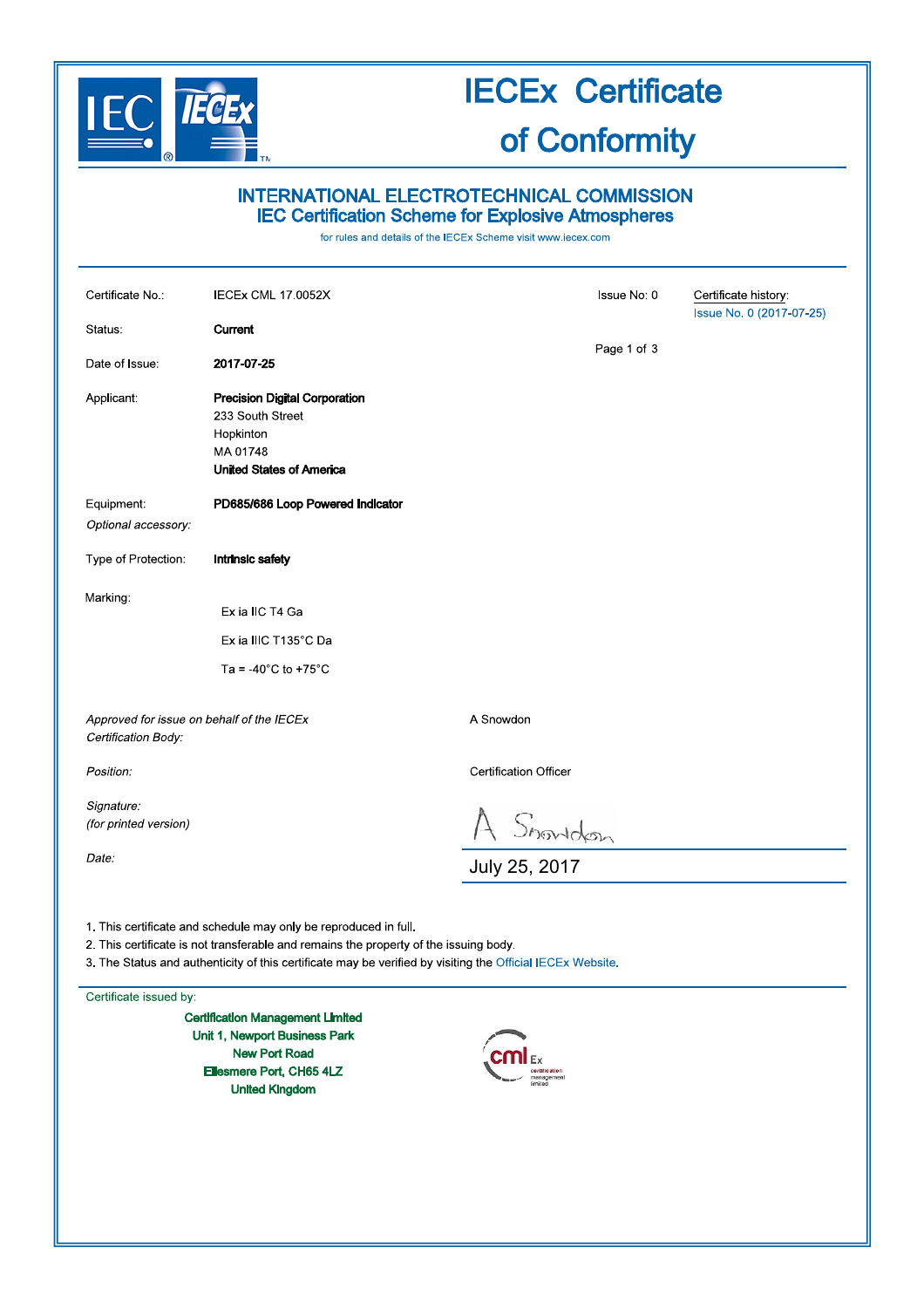

# **IECEx Certificate**

## of Conformity

### INTERNATIONAL ELECTROTECHNICAL COMMISSION **IEC Certification Scheme for Explosive Atmospheres**

for rules and details of the IECEx Scheme visit www.iecex.com

| Certificate No:                                                                                                                                                                                                                                                         | <b>IECEX CML 17.0052X</b>                                                                                            |                              | <b>Issue No: 0</b> | Certificate history:<br>Issue No. 0 (2017-07-25) |
|-------------------------------------------------------------------------------------------------------------------------------------------------------------------------------------------------------------------------------------------------------------------------|----------------------------------------------------------------------------------------------------------------------|------------------------------|--------------------|--------------------------------------------------|
| Status.                                                                                                                                                                                                                                                                 | Current                                                                                                              |                              |                    |                                                  |
| Date of Issue:                                                                                                                                                                                                                                                          | 2017-07-25                                                                                                           |                              | Page 1 of 3        |                                                  |
| Applicant:                                                                                                                                                                                                                                                              | <b>Precision Digital Corporation</b><br>233 South Street<br>Hopkinton<br>MA 01748<br><b>United States of America</b> |                              |                    |                                                  |
| Equipment:                                                                                                                                                                                                                                                              | PD685/686 Loop Powered Indicator                                                                                     |                              |                    |                                                  |
| Optional accessory:                                                                                                                                                                                                                                                     |                                                                                                                      |                              |                    |                                                  |
| Type of Protection:                                                                                                                                                                                                                                                     | <b>Intrinsic safety</b>                                                                                              |                              |                    |                                                  |
| Marking:                                                                                                                                                                                                                                                                | Ex ia IIC T4 Ga                                                                                                      |                              |                    |                                                  |
|                                                                                                                                                                                                                                                                         | Ex ia IIIC T135°C Da                                                                                                 |                              |                    |                                                  |
|                                                                                                                                                                                                                                                                         | Ta = -40 $^{\circ}$ C to +75 $^{\circ}$ C                                                                            |                              |                    |                                                  |
| Approved for issue on behalf of the IECEx<br>Certification Body:                                                                                                                                                                                                        |                                                                                                                      | A Snowdon                    |                    |                                                  |
| Position:                                                                                                                                                                                                                                                               |                                                                                                                      | <b>Certification Officer</b> |                    |                                                  |
| Signature:<br>(for printed version)                                                                                                                                                                                                                                     |                                                                                                                      |                              |                    |                                                  |
| Date:                                                                                                                                                                                                                                                                   |                                                                                                                      | $A$ Showdon                  |                    |                                                  |
| 1. This certificate and schedule may only be reproduced in full.<br>2. This certificate is not transferable and remains the property of the issuing body.<br>3. The Status and authenticity of this certificate may be verified by visiting the Official IECEx Website. |                                                                                                                      |                              |                    |                                                  |

Certificate issued by:

**Certification Management Limited** Unit 1, Newport Business Park **New Port Road** Ellesmere Port, CH65 4LZ **United Kingdom** 

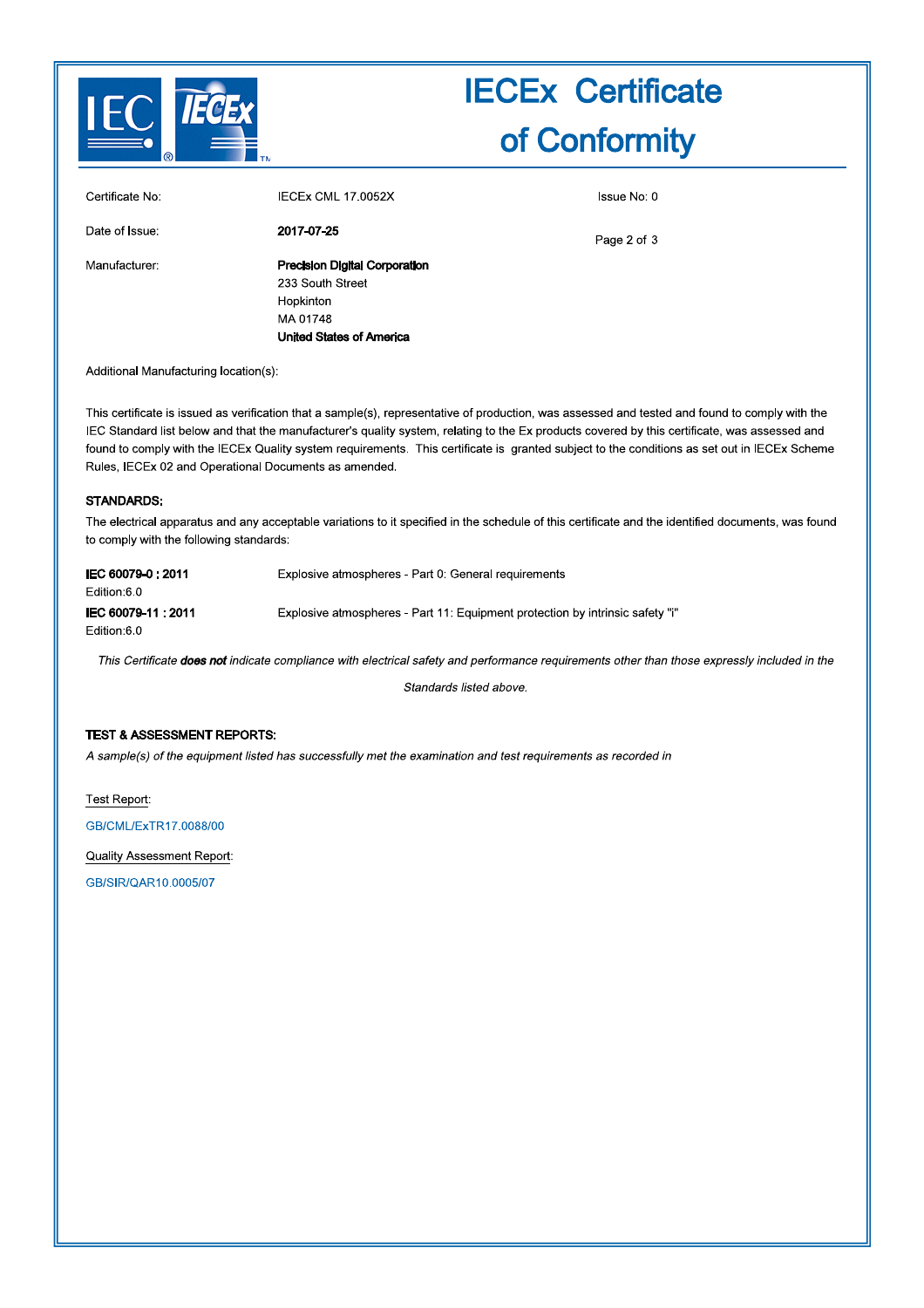

## **IECEx Certificate** of Conformity

| Certificate No: | <b>IECEX CML 17 0052X</b>            |
|-----------------|--------------------------------------|
| Date of Issue:  | 2017-07-25                           |
| Manufacturer:   | <b>Precision Digital Corporation</b> |
|                 | 233 South Street                     |
|                 | Hopkinton                            |
|                 | MA 01748                             |
|                 | United States of America             |

Issue No: 0

Page 2 of 3

Additional Manufacturing location(s):

This certificate is issued as verification that a sample(s), representative of production, was assessed and tested and found to comply with the IEC Standard list below and that the manufacturer's quality system, relating to the Ex products covered by this certificate, was assessed and found to comply with the IECEx Quality system requirements. This certificate is granted subject to the conditions as set out in IECEx Scheme Rules, IECEx 02 and Operational Documents as amended.

#### STANDARDS.

The electrical apparatus and any acceptable variations to it specified in the schedule of this certificate and the identified documents, was found to comply with the following standards:

| IEC 60079-0:2011<br>Edition:6.0    | Explosive atmospheres - Part 0: General requirements                          |
|------------------------------------|-------------------------------------------------------------------------------|
| IEC 60079-11 : 2011<br>Edition:6.0 | Explosive atmospheres - Part 11: Equipment protection by intrinsic safety "i" |
|                                    |                                                                               |

This Certificate does not indicate compliance with electrical safety and performance requirements other than those expressly included in the

Standards listed above.

#### **TEST & ASSESSMENT REPORTS:**

A sample(s) of the equipment listed has successfully met the examination and test requirements as recorded in

Test Report:

GB/CML/ExTR17.0088/00

Quality Assessment Report:

GB/SIR/QAR10,0005/07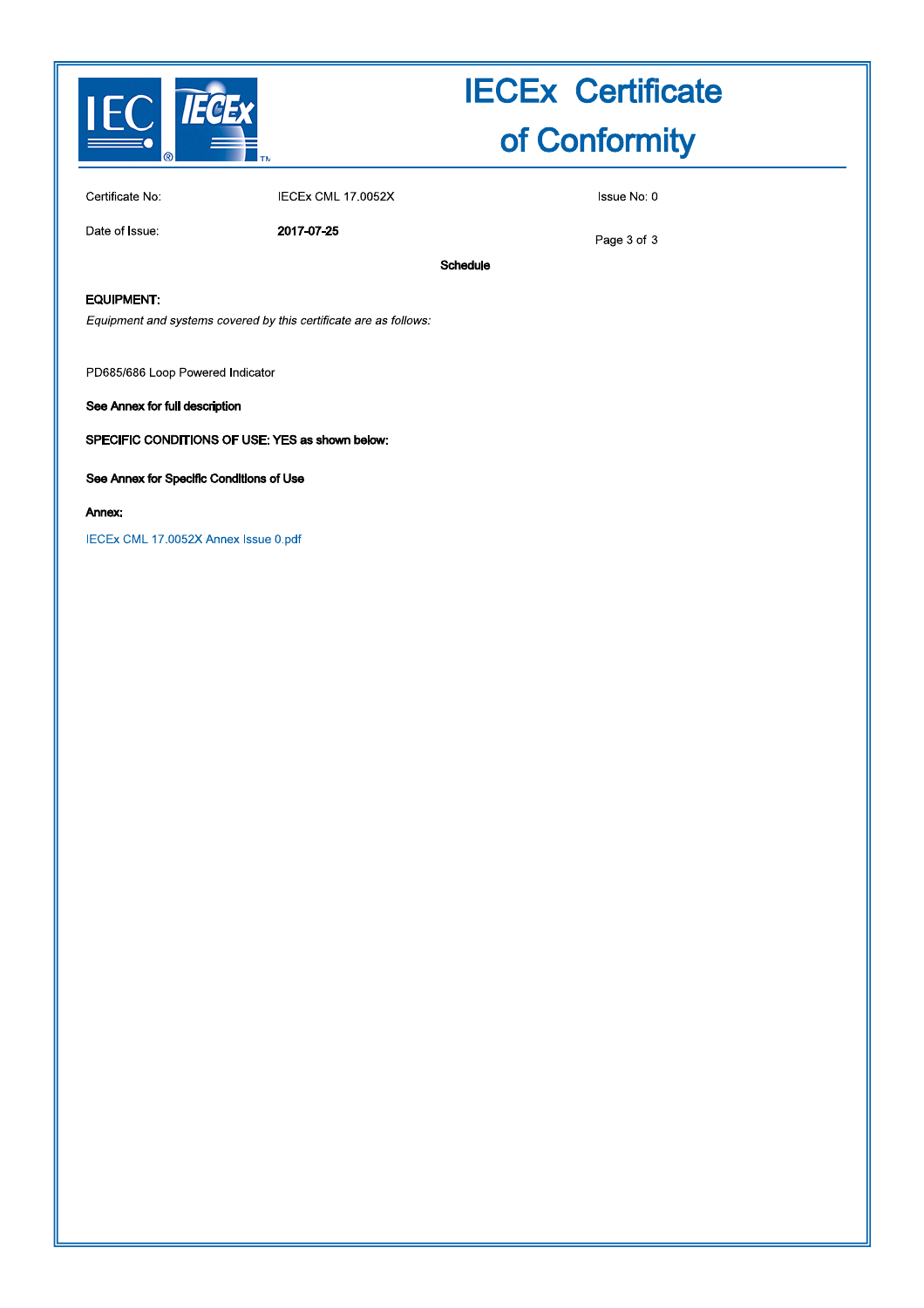

## **IECEx Certificate** of Conformity

Certificate No:

**IECEx CML 17.0052X** 

Date of Issue:

2017-07-25

Issue No: 0

Page 3 of 3

Schedule

EQUIPMENT:

Equipment and systems covered by this certificate are as follows:

PD685/686 Loop Powered Indicator

See Annex for full description

SPECIFIC CONDITIONS OF USE: YES as shown below:

See Annex for Specific Conditions of Use

#### Annex:

IECEx CML 17.0052X Annex Issue 0.pdf